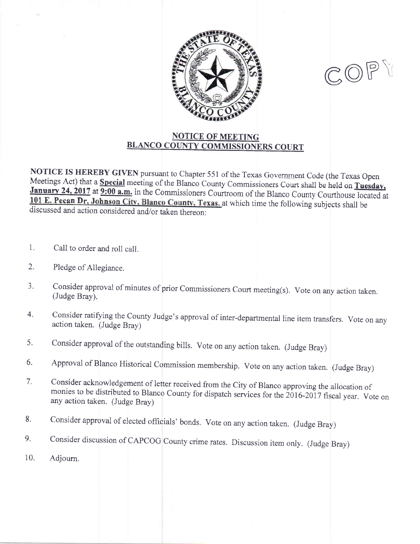



## **NOTICE OF MEETING** BLANCO COUNTY COMMISSIONERS COURT

NOTICE IS HEREBY GIVEN pursuant to Chapter 551 of the Texas Government Code (the Texas Open Meetings Act) that a Special meeting of the Blanco County Commissioners Court shall be held on Tuesday, January 24, 2017 at 9:00 a.m. in the Commissioners Courtroom of the Blanco County Courthouse located at 101 E. Pecan Dr, Johnson City, Blanco County, Texas, at which time the following subjects shall be discussed and action considered and/or taken thereon:

- Call to order and roll call. 1.
- Pledge of Allegiance. 2.
- Consider approval of minutes of prior Commissioners Court meeting(s). Vote on any action taken. (Judge Bray). 3.
- Consider ratifying the County Judge's approval of inter-departmental line item transfers. Vote on any action taken. (Judge Bray) 4.
- Consider approval of the outstanding bills. Vote on any action taken. (Judge Bray) 5.
- Approval of Blanco Historical Commission membership. Vote on any action taken. (Judge Bray) 6.
- 7. Consider acknowledgement of letter received from the City of Blanco approving the allocation of monies to be distributed to Blanco County for dispatch services for the 2016-2017 fiscal year. Vote on any action taken. (Judg
- Consider approval of elected officials' bonds. Vote on any action taken. (Judge Bray) 8.
- Consider discussion of CAPCOG County crime rates. Discussion item only. (Judge Bray) 9.
- Adjourn. 10.